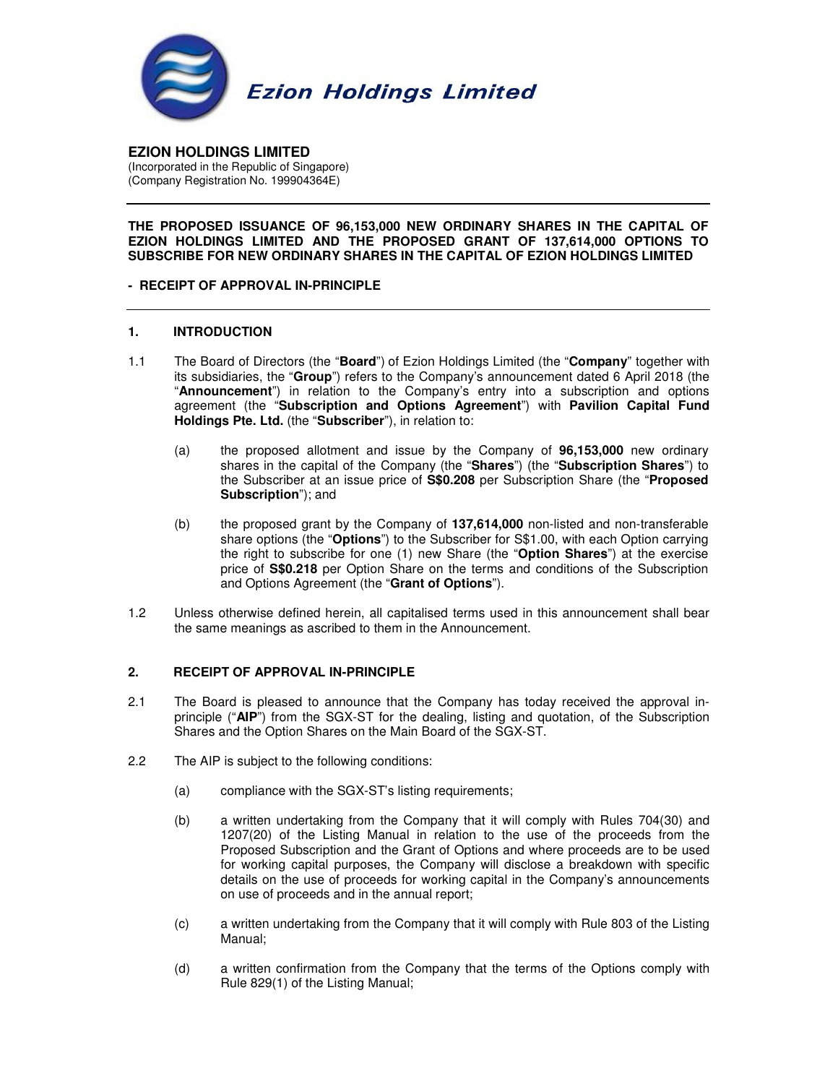

**EZION HOLDINGS LIMITED**  (Incorporated in the Republic of Singapore) (Company Registration No. 199904364E)

# **THE PROPOSED ISSUANCE OF 96,153,000 NEW ORDINARY SHARES IN THE CAPITAL OF EZION HOLDINGS LIMITED AND THE PROPOSED GRANT OF 137,614,000 OPTIONS TO SUBSCRIBE FOR NEW ORDINARY SHARES IN THE CAPITAL OF EZION HOLDINGS LIMITED**

# **- RECEIPT OF APPROVAL IN-PRINCIPLE**

# **1. INTRODUCTION**

- 1.1 The Board of Directors (the "**Board**") of Ezion Holdings Limited (the "**Company**" together with its subsidiaries, the "**Group**") refers to the Company's announcement dated 6 April 2018 (the "**Announcement**") in relation to the Company's entry into a subscription and options agreement (the "**Subscription and Options Agreement**") with **Pavilion Capital Fund Holdings Pte. Ltd.** (the "**Subscriber**"), in relation to:
	- (a) the proposed allotment and issue by the Company of **96,153,000** new ordinary shares in the capital of the Company (the "**Shares**") (the "**Subscription Shares**") to the Subscriber at an issue price of **S\$0.208** per Subscription Share (the "**Proposed Subscription**"); and
	- (b) the proposed grant by the Company of **137,614,000** non-listed and non-transferable share options (the "**Options**") to the Subscriber for S\$1.00, with each Option carrying the right to subscribe for one (1) new Share (the "**Option Shares**") at the exercise price of **S\$0.218** per Option Share on the terms and conditions of the Subscription and Options Agreement (the "**Grant of Options**").
- 1.2 Unless otherwise defined herein, all capitalised terms used in this announcement shall bear the same meanings as ascribed to them in the Announcement.

## **2. RECEIPT OF APPROVAL IN-PRINCIPLE**

- 2.1 The Board is pleased to announce that the Company has today received the approval inprinciple ("**AIP**") from the SGX-ST for the dealing, listing and quotation, of the Subscription Shares and the Option Shares on the Main Board of the SGX-ST.
- 2.2 The AIP is subject to the following conditions:
	- (a) compliance with the SGX-ST's listing requirements;
	- (b) a written undertaking from the Company that it will comply with Rules 704(30) and 1207(20) of the Listing Manual in relation to the use of the proceeds from the Proposed Subscription and the Grant of Options and where proceeds are to be used for working capital purposes, the Company will disclose a breakdown with specific details on the use of proceeds for working capital in the Company's announcements on use of proceeds and in the annual report;
	- (c) a written undertaking from the Company that it will comply with Rule 803 of the Listing Manual;
	- (d) a written confirmation from the Company that the terms of the Options comply with Rule 829(1) of the Listing Manual;